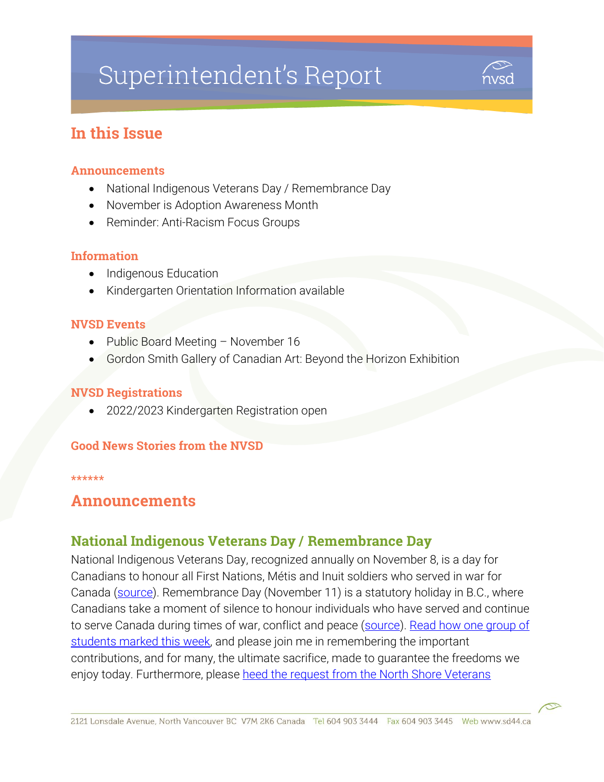# Superintendent's Report



# In this Issue

#### Announcements

- National Indigenous Veterans Day / Remembrance Day
- November is Adoption Awareness Month
- Reminder: Anti-Racism Focus Groups

#### Information

- Indigenous Education
- Kindergarten Orientation Information available

#### NVSD Events

- Public Board Meeting November 16
- Gordon Smith Gallery of Canadian Art: Beyond the Horizon Exhibition

#### NVSD Registrations

2022/2023 Kindergarten Registration open

#### Good News Stories from the NVSD

#### \*\*\*\*\*\*

## Announcements

## National Indigenous Veterans Day / Remembrance Day

National Indigenous Veterans Day, recognized annually on November 8, is a day for Canadians to honour all First Nations, Métis and Inuit soldiers who served in war for Canada [\(source\)](https://www.sd44.ca/ProgramsServices/indigenous-education/Documents/Indigenous%20Education%20Flyer_2021_Nov%208-30.pdf). Remembrance Day (November 11) is a statutory holiday in B.C., where Canadians take a moment of silence to honour individuals who have served and continue to serve Canada during times of war, conflict and peace [\(source\)](https://www.veterans.gc.ca/eng/remembrance/information-for/educators/quick-facts/remembrance-day). [Read how one group of](https://www.sd44.ca/District/LearnShareGrow/default.aspx#/view/658)  students [marked this week,](https://www.sd44.ca/District/LearnShareGrow/default.aspx#/view/658) and please join me in remembering the important contributions, and for many, the ultimate sacrifice, made to guarantee the freedoms we enjoy today. Furthermore, please heed the request from the North Shore Veterans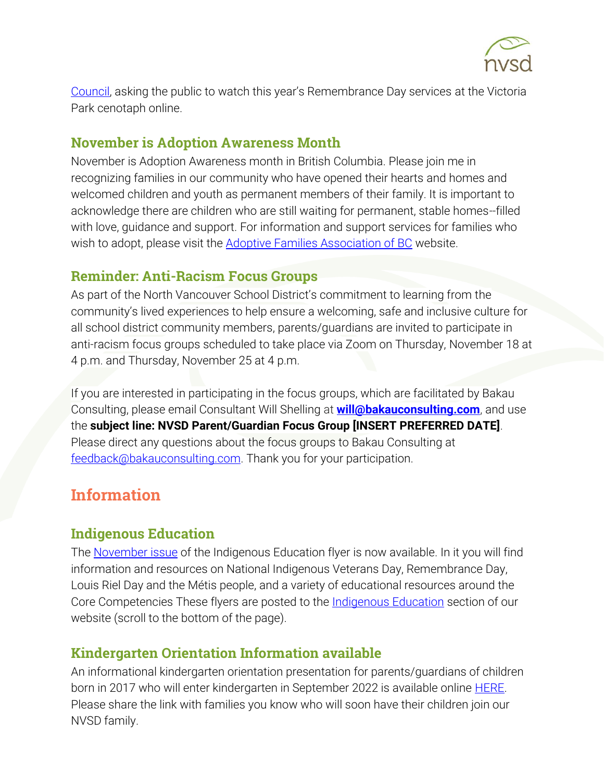

[Council](https://www.nsnews.com/local-news/dont-come-to-the-north-vancouver-remembrance-day-ceremony-veterans-group-pleads-4716762), asking the public to watch this year's Remembrance Day services at the Victoria Park cenotaph online.

### November is Adoption Awareness Month

November is Adoption Awareness month in British Columbia. Please join me in recognizing families in our community who have opened their hearts and homes and welcomed children and youth as permanent members of their family. It is important to acknowledge there are children who are still waiting for permanent, stable homes--filled with love, guidance and support. For information and support services for families who wish to adopt, please visit the **Adoptive Families Association of BC** website.

## Reminder: Anti-Racism Focus Groups

As part of the North Vancouver School District's commitment to learning from the community's lived experiences to help ensure a welcoming, safe and inclusive culture for all school district community members, parents/guardians are invited to participate in anti-racism focus groups scheduled to take place via Zoom on Thursday, November 18 at 4 p.m. and Thursday, November 25 at 4 p.m.

If you are interested in participating in the focus groups, which are facilitated by Bakau Consulting, please email Consultant Will Shelling at **[will@bakauconsulting.com](mailto:will@bakauconsulting.com)**, and use the **subject line: NVSD Parent/Guardian Focus Group [INSERT PREFERRED DATE]**. Please direct any questions about the focus groups to Bakau Consulting at [feedback@bakauconsulting.com.](mailto:feedback@bakauconsulting.com) Thank you for your participation.

# Information

## Indigenous Education

The [November issue](https://www.sd44.ca/ProgramsServices/indigenous-education/Documents/Indigenous%20Education%20Flyer_2021_Nov%208-30.pdf) of the Indigenous Education flyer is now available. In it you will find information and resources on National Indigenous Veterans Day, Remembrance Day, Louis Riel Day and the Métis people, and a variety of educational resources around the Core Competencies These flyers are posted to the [Indigenous Education](https://www.sd44.ca/ProgramsServices/indigenous-education/Pages/default.aspx#/=) section of our website (scroll to the bottom of the page).

# Kindergarten Orientation Information available

An informational kindergarten orientation presentation for parents/guardians of children born in 2017 who will enter kindergarten in September 2022 is available online **HERE**. Please share the link with families you know who will soon have their children join our NVSD family.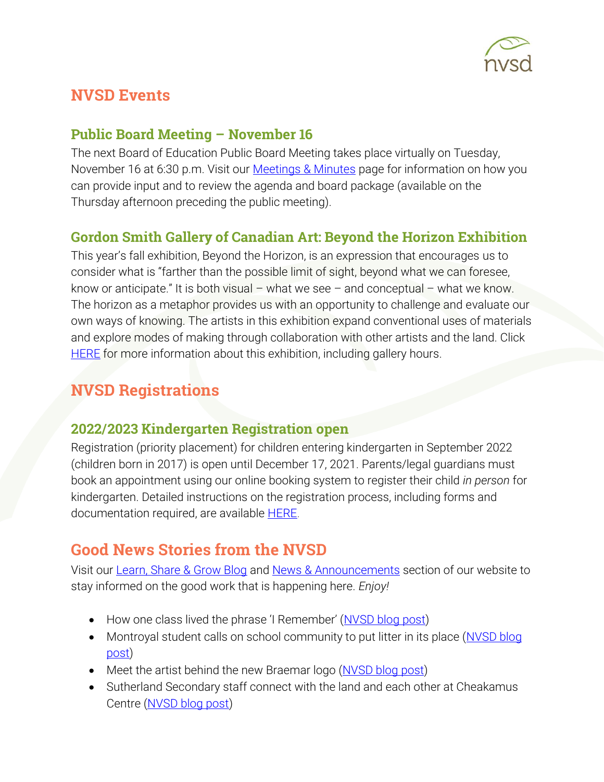

# NVSD Events

# Public Board Meeting – November 16

The next Board of Education Public Board Meeting takes place virtually on Tuesday, November 16 at 6:30 p.m. Visit our [Meetings & Minutes](https://www.sd44.ca/Board/Meetings/Pages/default.aspx#/=) page for information on how you can provide input and to review the agenda and board package (available on the Thursday afternoon preceding the public meeting).

# Gordon Smith Gallery of Canadian Art: Beyond the Horizon Exhibition

This year's fall exhibition, Beyond the Horizon, is an expression that encourages us to consider what is "farther than the possible limit of sight, beyond what we can foresee, know or anticipate." It is both visual – what we see – and conceptual – what we know. The horizon as a metaphor provides us with an opportunity to challenge and evaluate our own ways of knowing. The artists in this exhibition expand conventional uses of materials and explore modes of making through collaboration with other artists and the land. Click [HERE](https://www.sd44.ca/school/artistsforkids/Visit/Exhibitions/Pages/default.aspx#/=) for more information about this exhibition, including gallery hours.

# NVSD Registrations

## 2022/2023 Kindergarten Registration open

Registration (priority placement) for children entering kindergarten in September 2022 (children born in 2017) is open until December 17, 2021. Parents/legal guardians must book an appointment using our online booking system to register their child *in person* for kindergarten. Detailed instructions on the registration process, including forms and documentation required, are available **HERE**.

# Good News Stories from the NVSD

Visit our [Learn, Share & Grow Blog](https://www.sd44.ca/District/LearnShareGrow/default.aspx#/) and [News & Announcements](https://www.sd44.ca/Pages/newsarchive.aspx?ListID=d00680b1-9ba1-4668-9328-d82dd27dacd4) section of our website to stay informed on the good work that is happening here. *Enjoy!*

- How one class lived the phrase 'I Remember' ([NVSD blog post\)](https://www.sd44.ca/District/LearnShareGrow/default.aspx#/view/658)
- Montroyal student calls on school community to put litter in its place (NVSD blog [post\)](https://www.sd44.ca/District/LearnShareGrow/default.aspx#/view/657)
- Meet the artist behind the new Braemar logo (NVSD [blog post\)](https://www.sd44.ca/District/LearnShareGrow/default.aspx#/view/656)
- Sutherland Secondary staff connect with the land and each other at Cheakamus Centre [\(NVSD blog post\)](https://www.sd44.ca/District/LearnShareGrow/default.aspx#/view/655)